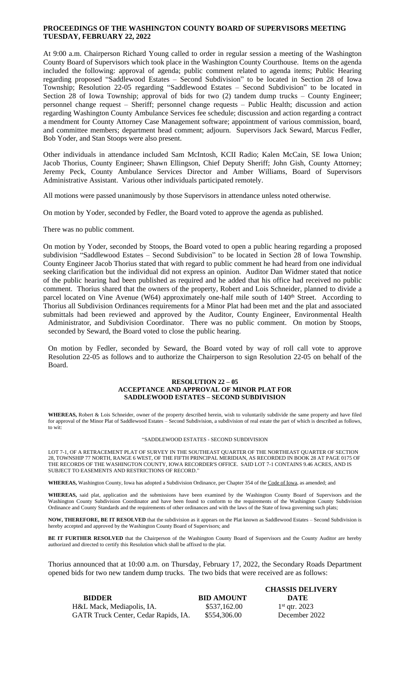## **PROCEEDINGS OF THE WASHINGTON COUNTY BOARD OF SUPERVISORS MEETING TUESDAY, FEBRUARY 22, 2022**

At 9:00 a.m. Chairperson Richard Young called to order in regular session a meeting of the Washington County Board of Supervisors which took place in the Washington County Courthouse. Items on the agenda included the following: approval of agenda; public comment related to agenda items; Public Hearing regarding proposed "Saddlewood Estates – Second Subdivision" to be located in Section 28 of Iowa Township; Resolution 22-05 regarding "Saddlewood Estates – Second Subdivision" to be located in Section 28 of Iowa Township; approval of bids for two (2) tandem dump trucks – County Engineer; personnel change request – Sheriff; personnel change requests – Public Health; discussion and action regarding Washington County Ambulance Services fee schedule; discussion and action regarding a contract a mendment for County Attorney Case Management software; appointment of various commission, board, and committee members; department head comment; adjourn. Supervisors Jack Seward, Marcus Fedler, Bob Yoder, and Stan Stoops were also present.

Other individuals in attendance included Sam McIntosh, KCII Radio; Kalen McCain, SE Iowa Union; Jacob Thorius, County Engineer; Shawn Ellingson, Chief Deputy Sheriff; John Gish, County Attorney; Jeremy Peck, County Ambulance Services Director and Amber Williams, Board of Supervisors Administrative Assistant. Various other individuals participated remotely.

All motions were passed unanimously by those Supervisors in attendance unless noted otherwise.

On motion by Yoder, seconded by Fedler, the Board voted to approve the agenda as published.

There was no public comment.

On motion by Yoder, seconded by Stoops, the Board voted to open a public hearing regarding a proposed subdivision "Saddlewood Estates – Second Subdivision" to be located in Section 28 of Iowa Township. County Engineer Jacob Thorius stated that with regard to public comment he had heard from one individual seeking clarification but the individual did not express an opinion. Auditor Dan Widmer stated that notice of the public hearing had been published as required and he added that his office had received no public comment. Thorius shared that the owners of the property, Robert and Lois Schneider, planned to divide a parcel located on Vine Avenue (W64) approximately one-half mile south of 140<sup>th</sup> Street. According to Thorius all Subdivision Ordinances requirements for a Minor Plat had been met and the plat and associated submittals had been reviewed and approved by the Auditor, County Engineer, Environmental Health Administrator, and Subdivision Coordinator. There was no public comment. On motion by Stoops, seconded by Seward, the Board voted to close the public hearing.

On motion by Fedler, seconded by Seward, the Board voted by way of roll call vote to approve Resolution 22-05 as follows and to authorize the Chairperson to sign Resolution 22-05 on behalf of the Board.

## **RESOLUTION 22 – 05 ACCEPTANCE AND APPROVAL OF MINOR PLAT FOR SADDLEWOOD ESTATES – SECOND SUBDIVISION**

**WHEREAS,** Robert & Lois Schneider, owner of the property described herein, wish to voluntarily subdivide the same property and have filed for approval of the Minor Plat of Saddlewood Estates – Second Subdivision, a subdivision of real estate the part of which is described as follows, to wit:

## "SADDLEWOOD ESTATES - SECOND SUBDIVISION

LOT 7-1, OF A RETRACEMENT PLAT OF SURVEY IN THE SOUTHEAST QUARTER OF THE NORTHEAST QUARTER OF SECTION 28, TOWNSHIP 77 NORTH, RANGE 6 WEST, OF THE FIFTH PRINCIPAL MERIDIAN, AS RECORDED IN BOOK 28 AT PAGE 0175 OF THE RECORDS OF THE WASHINGTON COUNTY, IOWA RECORDER'S OFFICE. SAID LOT 7-1 CONTAINS 9.46 ACRES, AND IS SUBJECT TO EASEMENTS AND RESTRICTIONS OF RECORD."

**WHEREAS,** Washington County, Iowa has adopted a Subdivision Ordinance, per Chapter 354 of the Code of Iowa, as amended; and

**WHEREAS,** said plat, application and the submissions have been examined by the Washington County Board of Supervisors and the Washington County Subdivision Coordinator and have been found to conform to the requirements of the Washington County Subdivision Ordinance and County Standards and the requirements of other ordinances and with the laws of the State of Iowa governing such plats;

**NOW, THEREFORE, BE IT RESOLVED** that the subdivision as it appears on the Plat known as Saddlewood Estates – Second Subdivision is hereby accepted and approved by the Washington County Board of Supervisors; and

**BE IT FURTHER RESOLVED** that the Chairperson of the Washington County Board of Supervisors and the County Auditor are hereby authorized and directed to certify this Resolution which shall be affixed to the plat.

Thorius announced that at 10:00 a.m. on Thursday, February 17, 2022, the Secondary Roads Department opened bids for two new tandem dump trucks. The two bids that were received are as follows:

|                                      |                   | <b>CHASSIS DELIVERY</b> |
|--------------------------------------|-------------------|-------------------------|
| <b>BIDDER</b>                        | <b>BID AMOUNT</b> | DATE                    |
| H&L Mack, Mediapolis, IA.            | \$537,162.00      | $1st$ qtr. 2023         |
| GATR Truck Center, Cedar Rapids, IA. | \$554,306.00      | December 2022           |